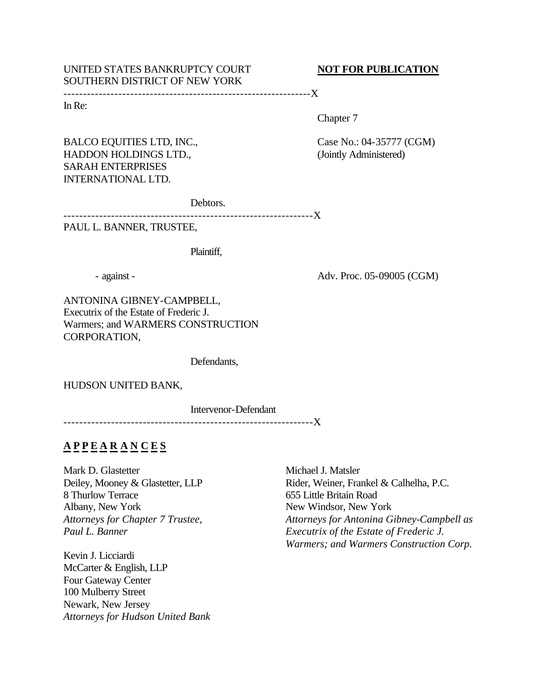## UNITED STATES BANKRUPTCY COURT **NOT FOR PUBLICATION** SOUTHERN DISTRICT OF NEW YORK

---------------------------------------------------------------X

In Re:

Chapter 7

HADDON HOLDINGS LTD., (Jointly Administered) SARAH ENTERPRISES INTERNATIONAL LTD.

BALCO EQUITIES LTD, INC., Case No.: 04-35777 (CGM)

Debtors.

---------------------------------------------------------------X

PAUL L. BANNER, TRUSTEE,

Plaintiff,

- against - Adv. Proc. 05-09005 (CGM)

ANTONINA GIBNEY-CAMPBELL, Executrix of the Estate of Frederic J. Warmers; and WARMERS CONSTRUCTION CORPORATION,

Defendants,

HUDSON UNITED BANK,

Intervenor-Defendant

---------------------------------------------------------------X

# **A P P E A R A N C E S**

Mark D. Glastetter Deiley, Mooney & Glastetter, LLP 8 Thurlow Terrace Albany, New York *Attorneys for Chapter 7 Trustee, Paul L. Banner*

Kevin J. Licciardi McCarter & English, LLP Four Gateway Center 100 Mulberry Street Newark, New Jersey *Attorneys for Hudson United Bank*

Michael J. Matsler Rider, Weiner, Frankel & Calhelha, P.C. 655 Little Britain Road New Windsor, New York *Attorneys for Antonina Gibney-Campbell as Executrix of the Estate of Frederic J. Warmers; and Warmers Construction Corp.*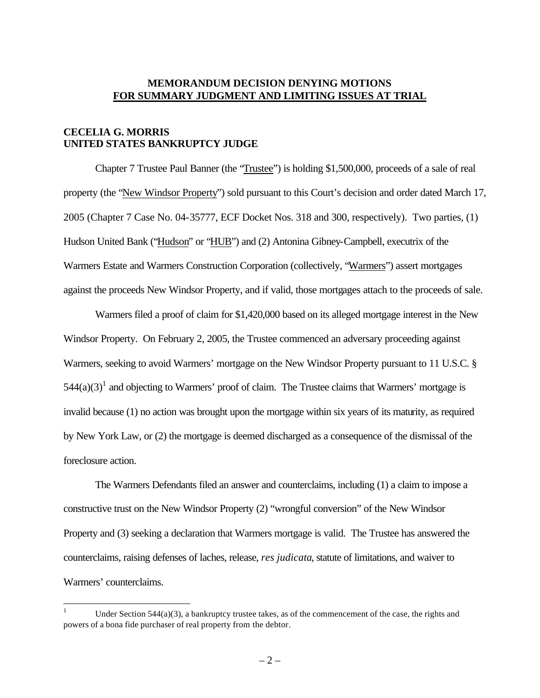#### **MEMORANDUM DECISION DENYING MOTIONS FOR SUMMARY JUDGMENT AND LIMITING ISSUES AT TRIAL**

## **CECELIA G. MORRIS UNITED STATES BANKRUPTCY JUDGE**

 $\overline{a}$ 

Chapter 7 Trustee Paul Banner (the "Trustee") is holding \$1,500,000, proceeds of a sale of real property (the "New Windsor Property") sold pursuant to this Court's decision and order dated March 17, 2005 (Chapter 7 Case No. 04-35777, ECF Docket Nos. 318 and 300, respectively). Two parties, (1) Hudson United Bank ("Hudson" or "HUB") and (2) Antonina Gibney-Campbell, executrix of the Warmers Estate and Warmers Construction Corporation (collectively, "Warmers") assert mortgages against the proceeds New Windsor Property, and if valid, those mortgages attach to the proceeds of sale.

Warmers filed a proof of claim for \$1,420,000 based on its alleged mortgage interest in the New Windsor Property. On February 2, 2005, the Trustee commenced an adversary proceeding against Warmers, seeking to avoid Warmers' mortgage on the New Windsor Property pursuant to 11 U.S.C. §  $544(a)(3)^1$  and objecting to Warmers' proof of claim. The Trustee claims that Warmers' mortgage is invalid because (1) no action was brought upon the mortgage within six years of its maturity, as required by New York Law, or (2) the mortgage is deemed discharged as a consequence of the dismissal of the foreclosure action.

The Warmers Defendants filed an answer and counterclaims, including (1) a claim to impose a constructive trust on the New Windsor Property (2) "wrongful conversion" of the New Windsor Property and (3) seeking a declaration that Warmers mortgage is valid. The Trustee has answered the counterclaims, raising defenses of laches, release, *res judicata*, statute of limitations, and waiver to Warmers' counterclaims.

Under Section  $544(a)(3)$ , a bankruptcy trustee takes, as of the commencement of the case, the rights and powers of a bona fide purchaser of real property from the debtor.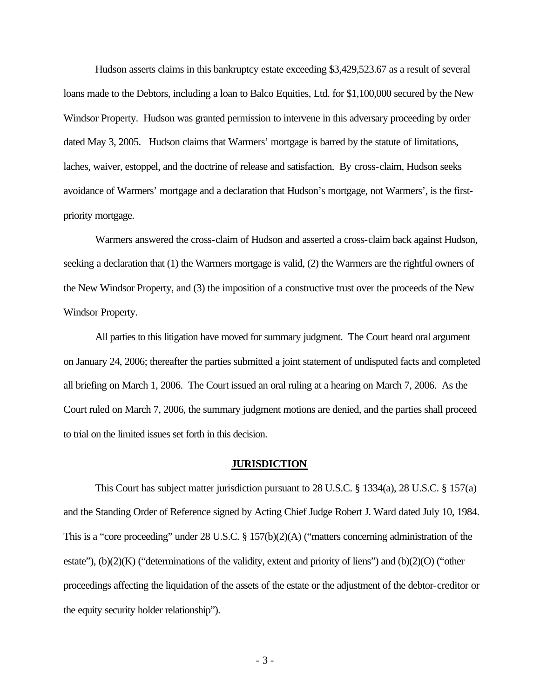Hudson asserts claims in this bankruptcy estate exceeding \$3,429,523.67 as a result of several loans made to the Debtors, including a loan to Balco Equities, Ltd. for \$1,100,000 secured by the New Windsor Property. Hudson was granted permission to intervene in this adversary proceeding by order dated May 3, 2005. Hudson claims that Warmers' mortgage is barred by the statute of limitations, laches, waiver, estoppel, and the doctrine of release and satisfaction. By cross-claim, Hudson seeks avoidance of Warmers' mortgage and a declaration that Hudson's mortgage, not Warmers', is the firstpriority mortgage.

Warmers answered the cross-claim of Hudson and asserted a cross-claim back against Hudson, seeking a declaration that (1) the Warmers mortgage is valid, (2) the Warmers are the rightful owners of the New Windsor Property, and (3) the imposition of a constructive trust over the proceeds of the New Windsor Property.

All parties to this litigation have moved for summary judgment. The Court heard oral argument on January 24, 2006; thereafter the parties submitted a joint statement of undisputed facts and completed all briefing on March 1, 2006. The Court issued an oral ruling at a hearing on March 7, 2006. As the Court ruled on March 7, 2006, the summary judgment motions are denied, and the parties shall proceed to trial on the limited issues set forth in this decision.

#### **JURISDICTION**

This Court has subject matter jurisdiction pursuant to 28 U.S.C. § 1334(a), 28 U.S.C. § 157(a) and the Standing Order of Reference signed by Acting Chief Judge Robert J. Ward dated July 10, 1984. This is a "core proceeding" under 28 U.S.C. § 157(b)(2)(A) ("matters concerning administration of the estate"),  $(b)(2)(K)$  ("determinations of the validity, extent and priority of liens") and  $(b)(2)(O)$  ("other proceedings affecting the liquidation of the assets of the estate or the adjustment of the debtor-creditor or the equity security holder relationship").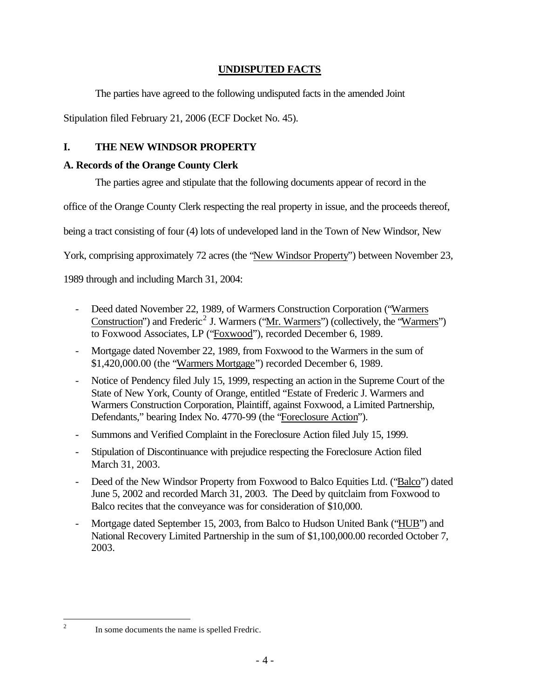## **UNDISPUTED FACTS**

The parties have agreed to the following undisputed facts in the amended Joint

Stipulation filed February 21, 2006 (ECF Docket No. 45).

## **I. THE NEW WINDSOR PROPERTY**

## **A. Records of the Orange County Clerk**

The parties agree and stipulate that the following documents appear of record in the

office of the Orange County Clerk respecting the real property in issue, and the proceeds thereof,

being a tract consisting of four (4) lots of undeveloped land in the Town of New Windsor, New

York, comprising approximately 72 acres (the "New Windsor Property") between November 23,

1989 through and including March 31, 2004:

- Deed dated November 22, 1989, of Warmers Construction Corporation ("Warmers Construction") and Frederic<sup>2</sup> J. Warmers ("Mr. Warmers") (collectively, the "Warmers") to Foxwood Associates, LP ("Foxwood"), recorded December 6, 1989.
- Mortgage dated November 22, 1989, from Foxwood to the Warmers in the sum of \$1,420,000.00 (the "Warmers Mortgage") recorded December 6, 1989.
- Notice of Pendency filed July 15, 1999, respecting an action in the Supreme Court of the State of New York, County of Orange, entitled "Estate of Frederic J. Warmers and Warmers Construction Corporation, Plaintiff, against Foxwood, a Limited Partnership, Defendants," bearing Index No. 4770-99 (the "Foreclosure Action").
- Summons and Verified Complaint in the Foreclosure Action filed July 15, 1999.
- Stipulation of Discontinuance with prejudice respecting the Foreclosure Action filed March 31, 2003.
- Deed of the New Windsor Property from Foxwood to Balco Equities Ltd. ("Balco") dated June 5, 2002 and recorded March 31, 2003. The Deed by quitclaim from Foxwood to Balco recites that the conveyance was for consideration of \$10,000.
- Mortgage dated September 15, 2003, from Balco to Hudson United Bank ("HUB") and National Recovery Limited Partnership in the sum of \$1,100,000.00 recorded October 7, 2003.

 $\frac{1}{2}$ 

In some documents the name is spelled Fredric.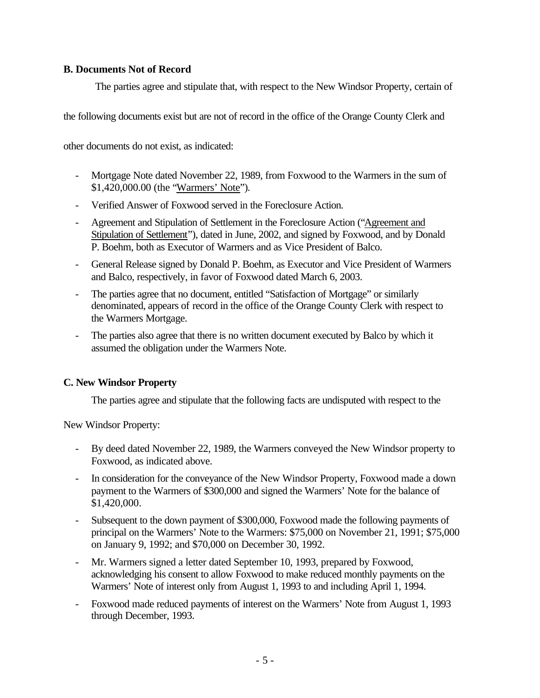### **B. Documents Not of Record**

The parties agree and stipulate that, with respect to the New Windsor Property, certain of

the following documents exist but are not of record in the office of the Orange County Clerk and

other documents do not exist, as indicated:

- Mortgage Note dated November 22, 1989, from Foxwood to the Warmers in the sum of \$1,420,000.00 (the "Warmers' Note").
- Verified Answer of Foxwood served in the Foreclosure Action.
- Agreement and Stipulation of Settlement in the Foreclosure Action ("Agreement and Stipulation of Settlement"), dated in June, 2002, and signed by Foxwood, and by Donald P. Boehm, both as Executor of Warmers and as Vice President of Balco.
- General Release signed by Donald P. Boehm, as Executor and Vice President of Warmers and Balco, respectively, in favor of Foxwood dated March 6, 2003.
- The parties agree that no document, entitled "Satisfaction of Mortgage" or similarly denominated, appears of record in the office of the Orange County Clerk with respect to the Warmers Mortgage.
- The parties also agree that there is no written document executed by Balco by which it assumed the obligation under the Warmers Note.

## **C. New Windsor Property**

The parties agree and stipulate that the following facts are undisputed with respect to the

New Windsor Property:

- By deed dated November 22, 1989, the Warmers conveyed the New Windsor property to Foxwood, as indicated above.
- In consideration for the conveyance of the New Windsor Property, Foxwood made a down payment to the Warmers of \$300,000 and signed the Warmers' Note for the balance of \$1,420,000.
- Subsequent to the down payment of \$300,000, Foxwood made the following payments of principal on the Warmers' Note to the Warmers: \$75,000 on November 21, 1991; \$75,000 on January 9, 1992; and \$70,000 on December 30, 1992.
- Mr. Warmers signed a letter dated September 10, 1993, prepared by Foxwood, acknowledging his consent to allow Foxwood to make reduced monthly payments on the Warmers' Note of interest only from August 1, 1993 to and including April 1, 1994.
- Foxwood made reduced payments of interest on the Warmers' Note from August 1, 1993 through December, 1993.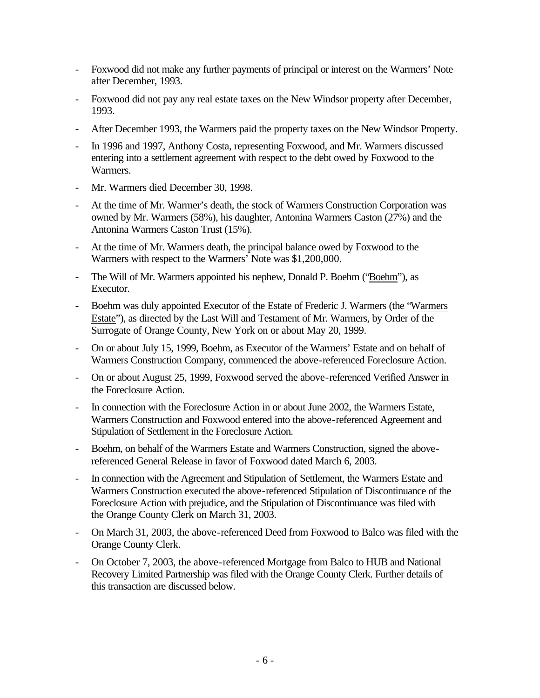- Foxwood did not make any further payments of principal or interest on the Warmers' Note after December, 1993.
- Foxwood did not pay any real estate taxes on the New Windsor property after December, 1993.
- After December 1993, the Warmers paid the property taxes on the New Windsor Property.
- In 1996 and 1997, Anthony Costa, representing Foxwood, and Mr. Warmers discussed entering into a settlement agreement with respect to the debt owed by Foxwood to the Warmers.
- Mr. Warmers died December 30, 1998.
- At the time of Mr. Warmer's death, the stock of Warmers Construction Corporation was owned by Mr. Warmers (58%), his daughter, Antonina Warmers Caston (27%) and the Antonina Warmers Caston Trust (15%).
- At the time of Mr. Warmers death, the principal balance owed by Foxwood to the Warmers with respect to the Warmers' Note was \$1,200,000.
- The Will of Mr. Warmers appointed his nephew, Donald P. Boehm ("Boehm"), as Executor.
- Boehm was duly appointed Executor of the Estate of Frederic J. Warmers (the "Warmers" Estate"), as directed by the Last Will and Testament of Mr. Warmers, by Order of the Surrogate of Orange County, New York on or about May 20, 1999.
- On or about July 15, 1999, Boehm, as Executor of the Warmers' Estate and on behalf of Warmers Construction Company, commenced the above-referenced Foreclosure Action.
- On or about August 25, 1999, Foxwood served the above-referenced Verified Answer in the Foreclosure Action.
- In connection with the Foreclosure Action in or about June 2002, the Warmers Estate, Warmers Construction and Foxwood entered into the above-referenced Agreement and Stipulation of Settlement in the Foreclosure Action.
- Boehm, on behalf of the Warmers Estate and Warmers Construction, signed the abovereferenced General Release in favor of Foxwood dated March 6, 2003.
- In connection with the Agreement and Stipulation of Settlement, the Warmers Estate and Warmers Construction executed the above-referenced Stipulation of Discontinuance of the Foreclosure Action with prejudice, and the Stipulation of Discontinuance was filed with the Orange County Clerk on March 31, 2003.
- On March 31, 2003, the above-referenced Deed from Foxwood to Balco was filed with the Orange County Clerk.
- On October 7, 2003, the above-referenced Mortgage from Balco to HUB and National Recovery Limited Partnership was filed with the Orange County Clerk. Further details of this transaction are discussed below.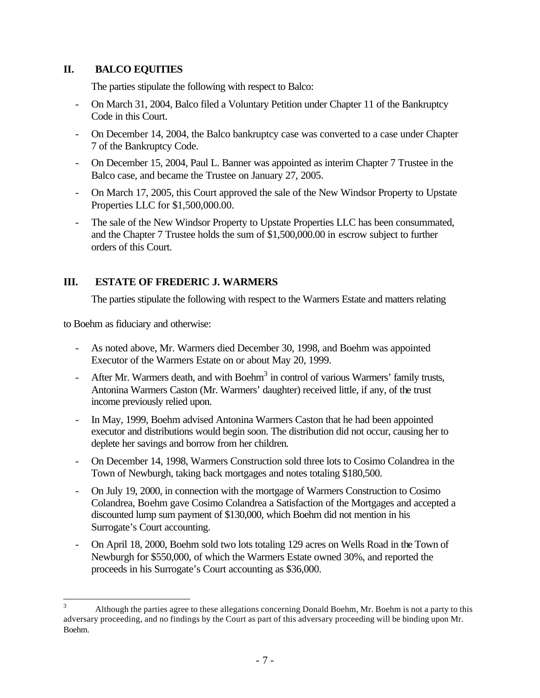### **II. BALCO EQUITIES**

The parties stipulate the following with respect to Balco:

- On March 31, 2004, Balco filed a Voluntary Petition under Chapter 11 of the Bankruptcy Code in this Court.
- On December 14, 2004, the Balco bankruptcy case was converted to a case under Chapter 7 of the Bankruptcy Code.
- On December 15, 2004, Paul L. Banner was appointed as interim Chapter 7 Trustee in the Balco case, and became the Trustee on January 27, 2005.
- On March 17, 2005, this Court approved the sale of the New Windsor Property to Upstate Properties LLC for \$1,500,000.00.
- The sale of the New Windsor Property to Upstate Properties LLC has been consummated, and the Chapter 7 Trustee holds the sum of \$1,500,000.00 in escrow subject to further orders of this Court.

## **III. ESTATE OF FREDERIC J. WARMERS**

The parties stipulate the following with respect to the Warmers Estate and matters relating

to Boehm as fiduciary and otherwise:

- As noted above, Mr. Warmers died December 30, 1998, and Boehm was appointed Executor of the Warmers Estate on or about May 20, 1999.
- After Mr. Warmers death, and with Boehm<sup>3</sup> in control of various Warmers' family trusts, Antonina Warmers Caston (Mr. Warmers' daughter) received little, if any, of the trust income previously relied upon.
- In May, 1999, Boehm advised Antonina Warmers Caston that he had been appointed executor and distributions would begin soon. The distribution did not occur, causing her to deplete her savings and borrow from her children.
- On December 14, 1998, Warmers Construction sold three lots to Cosimo Colandrea in the Town of Newburgh, taking back mortgages and notes totaling \$180,500.
- On July 19, 2000, in connection with the mortgage of Warmers Construction to Cosimo Colandrea, Boehm gave Cosimo Colandrea a Satisfaction of the Mortgages and accepted a discounted lump sum payment of \$130,000, which Boehm did not mention in his Surrogate's Court accounting.
- On April 18, 2000, Boehm sold two lots totaling 129 acres on Wells Road in the Town of Newburgh for \$550,000, of which the Warmers Estate owned 30%, and reported the proceeds in his Surrogate's Court accounting as \$36,000.

 $\overline{3}$ <sup>3</sup> Although the parties agree to these allegations concerning Donald Boehm, Mr. Boehm is not a party to this adversary proceeding, and no findings by the Court as part of this adversary proceeding will be binding upon Mr. Boehm.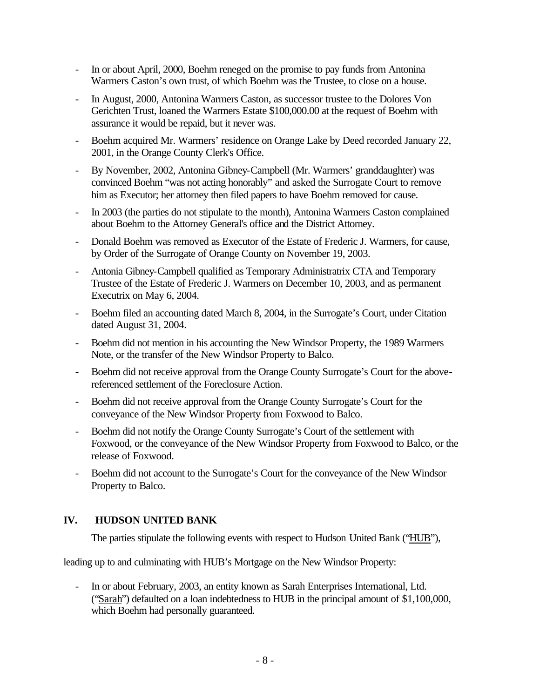- In or about April, 2000, Boehm reneged on the promise to pay funds from Antonina Warmers Caston's own trust, of which Boehm was the Trustee, to close on a house.
- In August, 2000, Antonina Warmers Caston, as successor trustee to the Dolores Von Gerichten Trust, loaned the Warmers Estate \$100,000.00 at the request of Boehm with assurance it would be repaid, but it never was.
- Boehm acquired Mr. Warmers' residence on Orange Lake by Deed recorded January 22, 2001, in the Orange County Clerk's Office.
- By November, 2002, Antonina Gibney-Campbell (Mr. Warmers' granddaughter) was convinced Boehm "was not acting honorably" and asked the Surrogate Court to remove him as Executor; her attorney then filed papers to have Boehm removed for cause.
- In 2003 (the parties do not stipulate to the month), Antonina Warmers Caston complained about Boehm to the Attorney General's office and the District Attorney.
- Donald Boehm was removed as Executor of the Estate of Frederic J. Warmers, for cause, by Order of the Surrogate of Orange County on November 19, 2003.
- Antonia Gibney-Campbell qualified as Temporary Administratrix CTA and Temporary Trustee of the Estate of Frederic J. Warmers on December 10, 2003, and as permanent Executrix on May 6, 2004.
- Boehm filed an accounting dated March 8, 2004, in the Surrogate's Court, under Citation dated August 31, 2004.
- Boehm did not mention in his accounting the New Windsor Property, the 1989 Warmers Note, or the transfer of the New Windsor Property to Balco.
- Boehm did not receive approval from the Orange County Surrogate's Court for the abovereferenced settlement of the Foreclosure Action.
- Boehm did not receive approval from the Orange County Surrogate's Court for the conveyance of the New Windsor Property from Foxwood to Balco.
- Boehm did not notify the Orange County Surrogate's Court of the settlement with Foxwood, or the conveyance of the New Windsor Property from Foxwood to Balco, or the release of Foxwood.
- Boehm did not account to the Surrogate's Court for the conveyance of the New Windsor Property to Balco.

## **IV. HUDSON UNITED BANK**

The parties stipulate the following events with respect to Hudson United Bank ("HUB"),

leading up to and culminating with HUB's Mortgage on the New Windsor Property:

- In or about February, 2003, an entity known as Sarah Enterprises International, Ltd. ("Sarah") defaulted on a loan indebtedness to HUB in the principal amount of \$1,100,000, which Boehm had personally guaranteed.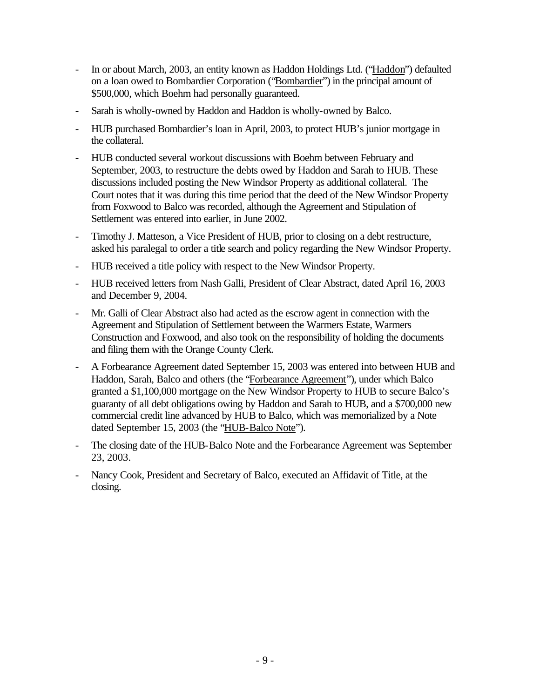- In or about March, 2003, an entity known as Haddon Holdings Ltd. ("Haddon") defaulted on a loan owed to Bombardier Corporation ("Bombardier") in the principal amount of \$500,000, which Boehm had personally guaranteed.
- Sarah is wholly-owned by Haddon and Haddon is wholly-owned by Balco.
- HUB purchased Bombardier's loan in April, 2003, to protect HUB's junior mortgage in the collateral.
- HUB conducted several workout discussions with Boehm between February and September, 2003, to restructure the debts owed by Haddon and Sarah to HUB. These discussions included posting the New Windsor Property as additional collateral. The Court notes that it was during this time period that the deed of the New Windsor Property from Foxwood to Balco was recorded, although the Agreement and Stipulation of Settlement was entered into earlier, in June 2002.
- Timothy J. Matteson, a Vice President of HUB, prior to closing on a debt restructure, asked his paralegal to order a title search and policy regarding the New Windsor Property.
- HUB received a title policy with respect to the New Windsor Property.
- HUB received letters from Nash Galli, President of Clear Abstract, dated April 16, 2003 and December 9, 2004.
- Mr. Galli of Clear Abstract also had acted as the escrow agent in connection with the Agreement and Stipulation of Settlement between the Warmers Estate, Warmers Construction and Foxwood, and also took on the responsibility of holding the documents and filing them with the Orange County Clerk.
- A Forbearance Agreement dated September 15, 2003 was entered into between HUB and Haddon, Sarah, Balco and others (the "Forbearance Agreement"), under which Balco granted a \$1,100,000 mortgage on the New Windsor Property to HUB to secure Balco's guaranty of all debt obligations owing by Haddon and Sarah to HUB, and a \$700,000 new commercial credit line advanced by HUB to Balco, which was memorialized by a Note dated September 15, 2003 (the "HUB-Balco Note").
- The closing date of the HUB-Balco Note and the Forbearance Agreement was September 23, 2003.
- Nancy Cook, President and Secretary of Balco, executed an Affidavit of Title, at the closing.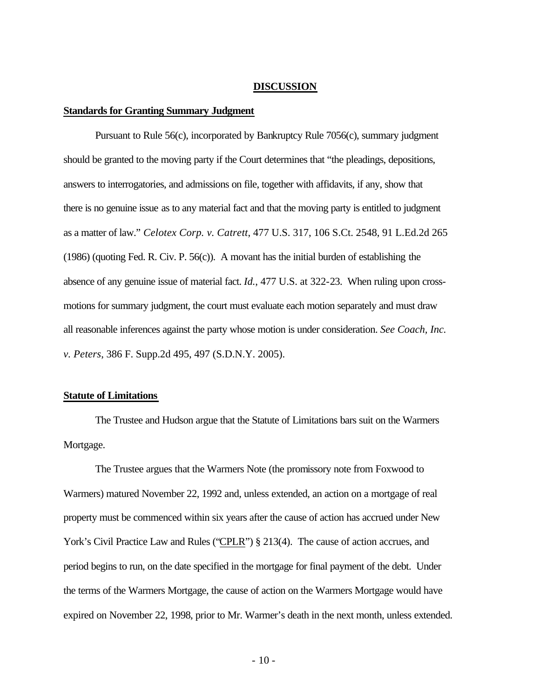#### **DISCUSSION**

#### **Standards for Granting Summary Judgment**

Pursuant to Rule 56(c), incorporated by Bankruptcy Rule 7056(c), summary judgment should be granted to the moving party if the Court determines that "the pleadings, depositions, answers to interrogatories, and admissions on file, together with affidavits, if any, show that there is no genuine issue as to any material fact and that the moving party is entitled to judgment as a matter of law." *Celotex Corp. v. Catrett*, 477 U.S. 317, 106 S.Ct. 2548, 91 L.Ed.2d 265 (1986) (quoting Fed. R. Civ. P. 56(c)). A movant has the initial burden of establishing the absence of any genuine issue of material fact. *Id.*, 477 U.S. at 322-23. When ruling upon crossmotions for summary judgment, the court must evaluate each motion separately and must draw all reasonable inferences against the party whose motion is under consideration. *See Coach, Inc. v. Peters*, 386 F. Supp.2d 495, 497 (S.D.N.Y. 2005).

#### **Statute of Limitations**

The Trustee and Hudson argue that the Statute of Limitations bars suit on the Warmers Mortgage.

The Trustee argues that the Warmers Note (the promissory note from Foxwood to Warmers) matured November 22, 1992 and, unless extended, an action on a mortgage of real property must be commenced within six years after the cause of action has accrued under New York's Civil Practice Law and Rules ("CPLR") § 213(4). The cause of action accrues, and period begins to run, on the date specified in the mortgage for final payment of the debt. Under the terms of the Warmers Mortgage, the cause of action on the Warmers Mortgage would have expired on November 22, 1998, prior to Mr. Warmer's death in the next month, unless extended.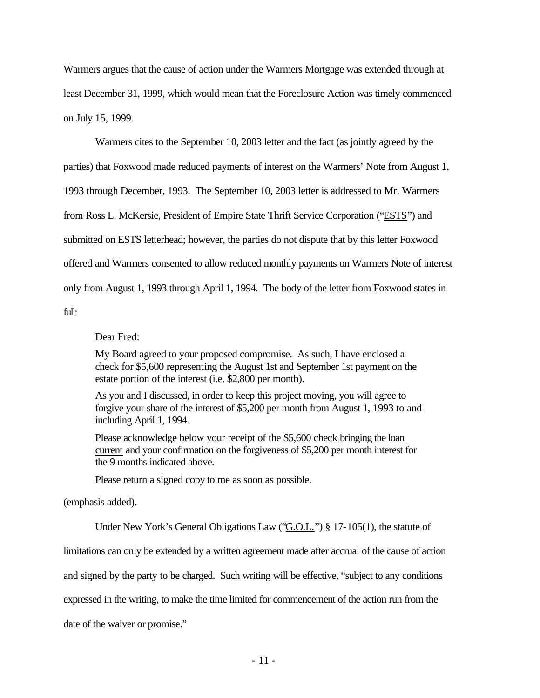Warmers argues that the cause of action under the Warmers Mortgage was extended through at least December 31, 1999, which would mean that the Foreclosure Action was timely commenced on July 15, 1999.

Warmers cites to the September 10, 2003 letter and the fact (as jointly agreed by the parties) that Foxwood made reduced payments of interest on the Warmers' Note from August 1, 1993 through December, 1993. The September 10, 2003 letter is addressed to Mr. Warmers from Ross L. McKersie, President of Empire State Thrift Service Corporation ("ESTS") and submitted on ESTS letterhead; however, the parties do not dispute that by this letter Foxwood offered and Warmers consented to allow reduced monthly payments on Warmers Note of interest only from August 1, 1993 through April 1, 1994. The body of the letter from Foxwood states in full:

Dear Fred:

My Board agreed to your proposed compromise. As such, I have enclosed a check for \$5,600 representing the August 1st and September 1st payment on the estate portion of the interest (i.e. \$2,800 per month).

As you and I discussed, in order to keep this project moving, you will agree to forgive your share of the interest of \$5,200 per month from August 1, 1993 to and including April 1, 1994.

Please acknowledge below your receipt of the \$5,600 check bringing the loan current and your confirmation on the forgiveness of \$5,200 per month interest for the 9 months indicated above.

Please return a signed copy to me as soon as possible.

(emphasis added).

Under New York's General Obligations Law ("G.O.L.") § 17-105(1), the statute of

limitations can only be extended by a written agreement made after accrual of the cause of action

and signed by the party to be charged. Such writing will be effective, "subject to any conditions

expressed in the writing, to make the time limited for commencement of the action run from the

date of the waiver or promise."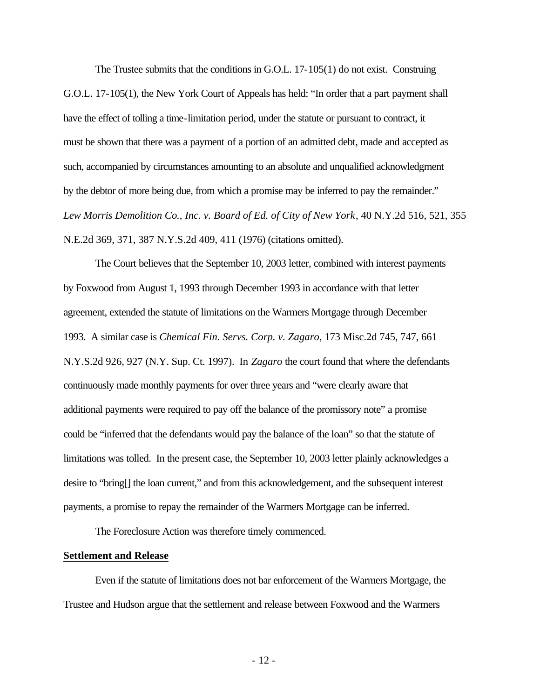The Trustee submits that the conditions in G.O.L. 17-105(1) do not exist. Construing G.O.L. 17-105(1), the New York Court of Appeals has held: "In order that a part payment shall have the effect of tolling a time-limitation period, under the statute or pursuant to contract, it must be shown that there was a payment of a portion of an admitted debt, made and accepted as such, accompanied by circumstances amounting to an absolute and unqualified acknowledgment by the debtor of more being due, from which a promise may be inferred to pay the remainder." *Lew Morris Demolition Co., Inc. v. Board of Ed. of City of New York*, 40 N.Y.2d 516, 521, 355 N.E.2d 369, 371, 387 N.Y.S.2d 409, 411 (1976) (citations omitted).

The Court believes that the September 10, 2003 letter, combined with interest payments by Foxwood from August 1, 1993 through December 1993 in accordance with that letter agreement, extended the statute of limitations on the Warmers Mortgage through December 1993. A similar case is *Chemical Fin. Servs. Corp. v. Zagaro*, 173 Misc.2d 745, 747, 661 N.Y.S.2d 926, 927 (N.Y. Sup. Ct. 1997). In *Zagaro* the court found that where the defendants continuously made monthly payments for over three years and "were clearly aware that additional payments were required to pay off the balance of the promissory note" a promise could be "inferred that the defendants would pay the balance of the loan" so that the statute of limitations was tolled. In the present case, the September 10, 2003 letter plainly acknowledges a desire to "bring[] the loan current," and from this acknowledgement, and the subsequent interest payments, a promise to repay the remainder of the Warmers Mortgage can be inferred.

The Foreclosure Action was therefore timely commenced.

#### **Settlement and Release**

Even if the statute of limitations does not bar enforcement of the Warmers Mortgage, the Trustee and Hudson argue that the settlement and release between Foxwood and the Warmers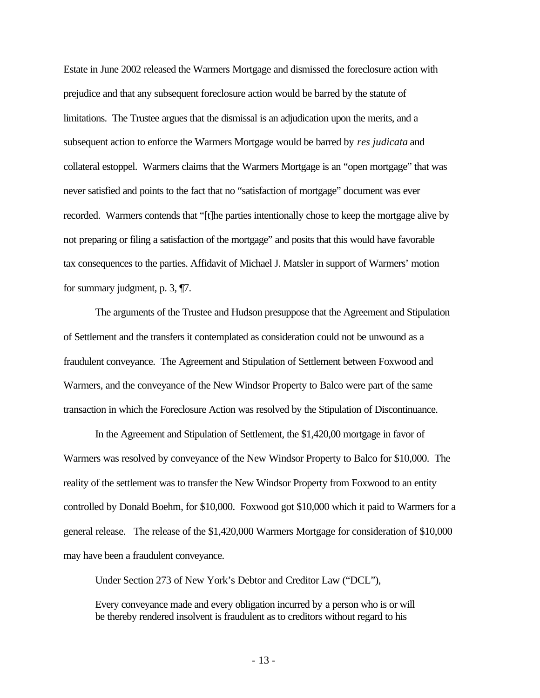Estate in June 2002 released the Warmers Mortgage and dismissed the foreclosure action with prejudice and that any subsequent foreclosure action would be barred by the statute of limitations. The Trustee argues that the dismissal is an adjudication upon the merits, and a subsequent action to enforce the Warmers Mortgage would be barred by *res judicata* and collateral estoppel. Warmers claims that the Warmers Mortgage is an "open mortgage" that was never satisfied and points to the fact that no "satisfaction of mortgage" document was ever recorded. Warmers contends that "[t]he parties intentionally chose to keep the mortgage alive by not preparing or filing a satisfaction of the mortgage" and posits that this would have favorable tax consequences to the parties. Affidavit of Michael J. Matsler in support of Warmers' motion for summary judgment, p. 3, ¶7.

The arguments of the Trustee and Hudson presuppose that the Agreement and Stipulation of Settlement and the transfers it contemplated as consideration could not be unwound as a fraudulent conveyance. The Agreement and Stipulation of Settlement between Foxwood and Warmers, and the conveyance of the New Windsor Property to Balco were part of the same transaction in which the Foreclosure Action was resolved by the Stipulation of Discontinuance.

In the Agreement and Stipulation of Settlement, the \$1,420,00 mortgage in favor of Warmers was resolved by conveyance of the New Windsor Property to Balco for \$10,000. The reality of the settlement was to transfer the New Windsor Property from Foxwood to an entity controlled by Donald Boehm, for \$10,000. Foxwood got \$10,000 which it paid to Warmers for a general release. The release of the \$1,420,000 Warmers Mortgage for consideration of \$10,000 may have been a fraudulent conveyance.

Under Section 273 of New York's Debtor and Creditor Law ("DCL"),

Every conveyance made and every obligation incurred by a person who is or will be thereby rendered insolvent is fraudulent as to creditors without regard to his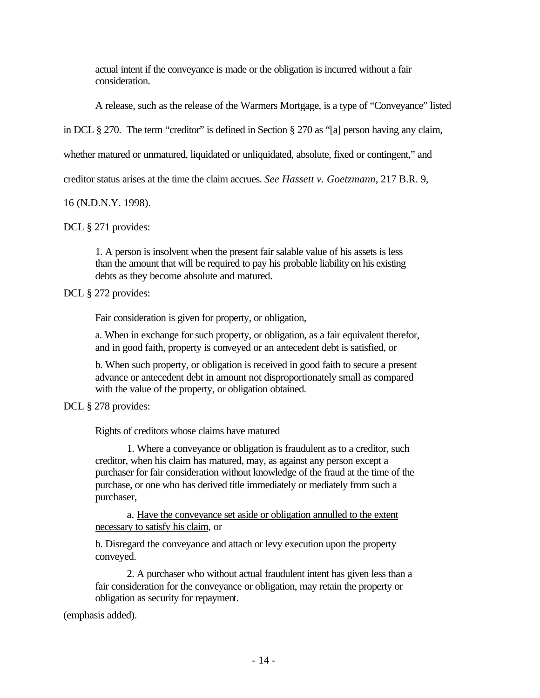actual intent if the conveyance is made or the obligation is incurred without a fair consideration.

A release, such as the release of the Warmers Mortgage, is a type of "Conveyance" listed

in DCL § 270. The term "creditor" is defined in Section § 270 as "[a] person having any claim,

whether matured or unmatured, liquidated or unliquidated, absolute, fixed or contingent," and

creditor status arises at the time the claim accrues. *See Hassett v. Goetzmann*, 217 B.R. 9,

16 (N.D.N.Y. 1998).

DCL § 271 provides:

1. A person is insolvent when the present fair salable value of his assets is less than the amount that will be required to pay his probable liability on his existing debts as they become absolute and matured.

DCL § 272 provides:

Fair consideration is given for property, or obligation,

a. When in exchange for such property, or obligation, as a fair equivalent therefor, and in good faith, property is conveyed or an antecedent debt is satisfied, or

b. When such property, or obligation is received in good faith to secure a present advance or antecedent debt in amount not disproportionately small as compared with the value of the property, or obligation obtained.

DCL § 278 provides:

Rights of creditors whose claims have matured

1. Where a conveyance or obligation is fraudulent as to a creditor, such creditor, when his claim has matured, may, as against any person except a purchaser for fair consideration without knowledge of the fraud at the time of the purchase, or one who has derived title immediately or mediately from such a purchaser,

a. Have the conveyance set aside or obligation annulled to the extent necessary to satisfy his claim, or

b. Disregard the conveyance and attach or levy execution upon the property conveyed.

2. A purchaser who without actual fraudulent intent has given less than a fair consideration for the conveyance or obligation, may retain the property or obligation as security for repayment.

(emphasis added).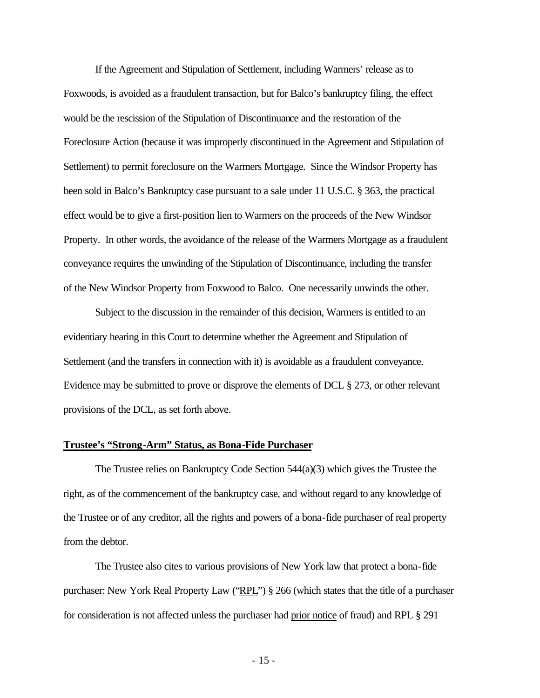If the Agreement and Stipulation of Settlement, including Warmers' release as to Foxwoods, is avoided as a fraudulent transaction, but for Balco's bankruptcy filing, the effect would be the rescission of the Stipulation of Discontinuance and the restoration of the Foreclosure Action (because it was improperly discontinued in the Agreement and Stipulation of Settlement) to permit foreclosure on the Warmers Mortgage. Since the Windsor Property has been sold in Balco's Bankruptcy case pursuant to a sale under 11 U.S.C. § 363, the practical effect would be to give a first-position lien to Warmers on the proceeds of the New Windsor Property. In other words, the avoidance of the release of the Warmers Mortgage as a fraudulent conveyance requires the unwinding of the Stipulation of Discontinuance, including the transfer of the New Windsor Property from Foxwood to Balco. One necessarily unwinds the other.

Subject to the discussion in the remainder of this decision, Warmers is entitled to an evidentiary hearing in this Court to determine whether the Agreement and Stipulation of Settlement (and the transfers in connection with it) is avoidable as a fraudulent conveyance. Evidence may be submitted to prove or disprove the elements of DCL § 273, or other relevant provisions of the DCL, as set forth above.

#### **Trustee's "Strong-Arm" Status, as Bona-Fide Purchaser**

The Trustee relies on Bankruptcy Code Section  $544(a)(3)$  which gives the Trustee the right, as of the commencement of the bankruptcy case, and without regard to any knowledge of the Trustee or of any creditor, all the rights and powers of a bona-fide purchaser of real property from the debtor.

The Trustee also cites to various provisions of New York law that protect a bona-fide purchaser: New York Real Property Law ("RPL") § 266 (which states that the title of a purchaser for consideration is not affected unless the purchaser had prior notice of fraud) and RPL § 291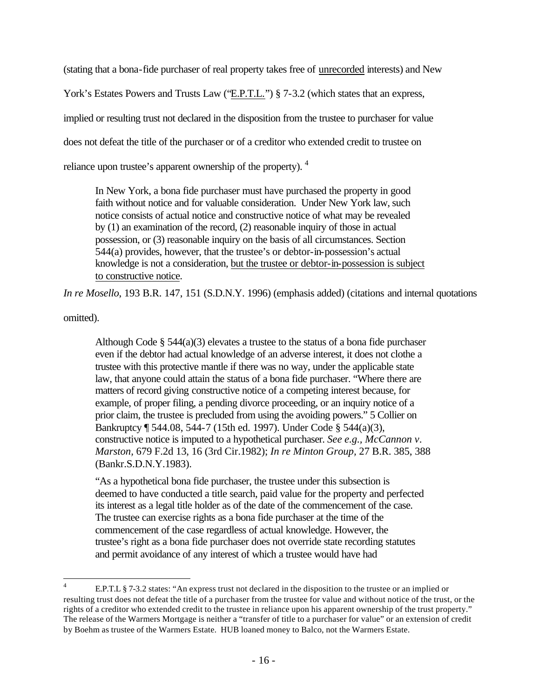(stating that a bona-fide purchaser of real property takes free of unrecorded interests) and New

York's Estates Powers and Trusts Law ("E.P.T.L.") § 7-3.2 (which states that an express,

implied or resulting trust not declared in the disposition from the trustee to purchaser for value

does not defeat the title of the purchaser or of a creditor who extended credit to trustee on

reliance upon trustee's apparent ownership of the property). <sup>4</sup>

In New York, a bona fide purchaser must have purchased the property in good faith without notice and for valuable consideration. Under New York law, such notice consists of actual notice and constructive notice of what may be revealed by (1) an examination of the record, (2) reasonable inquiry of those in actual possession, or (3) reasonable inquiry on the basis of all circumstances. Section 544(a) provides, however, that the trustee's or debtor-in-possession's actual knowledge is not a consideration, but the trustee or debtor-in-possession is subject to constructive notice.

*In re Mosello*, 193 B.R. 147, 151 (S.D.N.Y. 1996) (emphasis added) (citations and internal quotations

omitted).

Although Code  $\S$  544(a)(3) elevates a trustee to the status of a bona fide purchaser even if the debtor had actual knowledge of an adverse interest, it does not clothe a trustee with this protective mantle if there was no way, under the applicable state law, that anyone could attain the status of a bona fide purchaser. "Where there are matters of record giving constructive notice of a competing interest because, for example, of proper filing, a pending divorce proceeding, or an inquiry notice of a prior claim, the trustee is precluded from using the avoiding powers." 5 Collier on Bankruptcy ¶ 544.08, 544-7 (15th ed. 1997). Under Code § 544(a)(3), constructive notice is imputed to a hypothetical purchaser. *See e.g., McCannon v. Marston,* 679 F.2d 13, 16 (3rd Cir.1982); *In re Minton Group,* 27 B.R. 385, 388 (Bankr.S.D.N.Y.1983).

"As a hypothetical bona fide purchaser, the trustee under this subsection is deemed to have conducted a title search, paid value for the property and perfected its interest as a legal title holder as of the date of the commencement of the case. The trustee can exercise rights as a bona fide purchaser at the time of the commencement of the case regardless of actual knowledge. However, the trustee's right as a bona fide purchaser does not override state recording statutes and permit avoidance of any interest of which a trustee would have had

 $\frac{1}{4}$ E.P.T.L § 7-3.2 states: "An express trust not declared in the disposition to the trustee or an implied or resulting trust does not defeat the title of a purchaser from the trustee for value and without notice of the trust, or the rights of a creditor who extended credit to the trustee in reliance upon his apparent ownership of the trust property." The release of the Warmers Mortgage is neither a "transfer of title to a purchaser for value" or an extension of credit by Boehm as trustee of the Warmers Estate. HUB loaned money to Balco, not the Warmers Estate.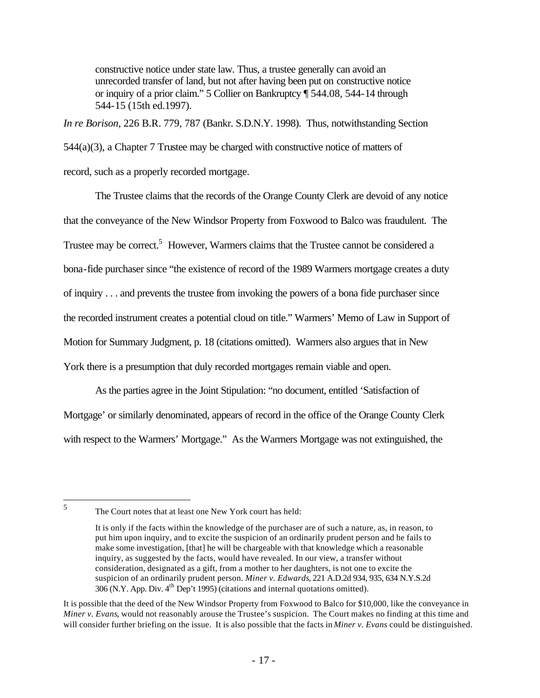constructive notice under state law. Thus, a trustee generally can avoid an unrecorded transfer of land, but not after having been put on constructive notice or inquiry of a prior claim." 5 Collier on Bankruptcy ¶ 544.08, 544-14 through 544-15 (15th ed.1997).

*In re Borison*, 226 B.R. 779, 787 (Bankr. S.D.N.Y. 1998). Thus, notwithstanding Section 544(a)(3), a Chapter 7 Trustee may be charged with constructive notice of matters of record, such as a properly recorded mortgage.

The Trustee claims that the records of the Orange County Clerk are devoid of any notice that the conveyance of the New Windsor Property from Foxwood to Balco was fraudulent. The Trustee may be correct.<sup>5</sup> However, Warmers claims that the Trustee cannot be considered a bona-fide purchaser since "the existence of record of the 1989 Warmers mortgage creates a duty of inquiry . . . and prevents the trustee from invoking the powers of a bona fide purchaser since the recorded instrument creates a potential cloud on title." Warmers' Memo of Law in Support of Motion for Summary Judgment, p. 18 (citations omitted). Warmers also argues that in New York there is a presumption that duly recorded mortgages remain viable and open.

As the parties agree in the Joint Stipulation: "no document, entitled 'Satisfaction of Mortgage' or similarly denominated, appears of record in the office of the Orange County Clerk with respect to the Warmers' Mortgage." As the Warmers Mortgage was not extinguished, the

 $\frac{1}{5}$ 

The Court notes that at least one New York court has held:

It is only if the facts within the knowledge of the purchaser are of such a nature, as, in reason, to put him upon inquiry, and to excite the suspicion of an ordinarily prudent person and he fails to make some investigation, [that] he will be chargeable with that knowledge which a reasonable inquiry, as suggested by the facts, would have revealed. In our view, a transfer without consideration, designated as a gift, from a mother to her daughters, is not one to excite the suspicion of an ordinarily prudent person. *Miner v. Edwards*, 221 A.D.2d 934, 935, 634 N.Y.S.2d 306 (N.Y. App. Div.  $4^{th}$  Dep't 1995) (citations and internal quotations omitted).

It is possible that the deed of the New Windsor Property from Foxwood to Balco for \$10,000, like the conveyance in *Miner v. Evans*, would not reasonably arouse the Trustee's suspicion. The Court makes no finding at this time and will consider further briefing on the issue. It is also possible that the facts in *Miner v. Evans* could be distinguished.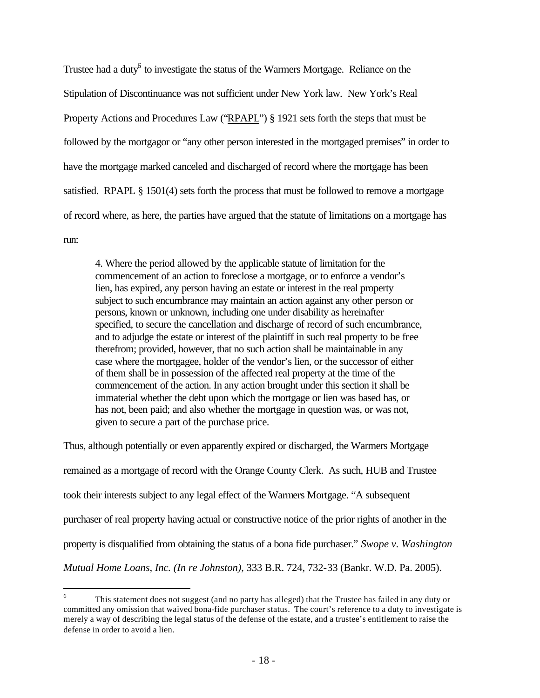Trustee had a duty<sup>6</sup> to investigate the status of the Warmers Mortgage. Reliance on the Stipulation of Discontinuance was not sufficient under New York law. New York's Real Property Actions and Procedures Law ("RPAPL") § 1921 sets forth the steps that must be followed by the mortgagor or "any other person interested in the mortgaged premises" in order to have the mortgage marked canceled and discharged of record where the mortgage has been satisfied. RPAPL § 1501(4) sets forth the process that must be followed to remove a mortgage of record where, as here, the parties have argued that the statute of limitations on a mortgage has run:

4. Where the period allowed by the applicable statute of limitation for the commencement of an action to foreclose a mortgage, or to enforce a vendor's lien, has expired, any person having an estate or interest in the real property subject to such encumbrance may maintain an action against any other person or persons, known or unknown, including one under disability as hereinafter specified, to secure the cancellation and discharge of record of such encumbrance, and to adjudge the estate or interest of the plaintiff in such real property to be free therefrom; provided, however, that no such action shall be maintainable in any case where the mortgagee, holder of the vendor's lien, or the successor of either of them shall be in possession of the affected real property at the time of the commencement of the action. In any action brought under this section it shall be immaterial whether the debt upon which the mortgage or lien was based has, or has not, been paid; and also whether the mortgage in question was, or was not, given to secure a part of the purchase price.

Thus, although potentially or even apparently expired or discharged, the Warmers Mortgage remained as a mortgage of record with the Orange County Clerk. As such, HUB and Trustee took their interests subject to any legal effect of the Warmers Mortgage. "A subsequent purchaser of real property having actual or constructive notice of the prior rights of another in the property is disqualified from obtaining the status of a bona fide purchaser." *Swope v. Washington Mutual Home Loans, Inc. (In re Johnston)*, 333 B.R. 724, 732-33 (Bankr. W.D. Pa. 2005).

 $\overline{a}$ 

<sup>6</sup> This statement does not suggest (and no party has alleged) that the Trustee has failed in any duty or committed any omission that waived bona-fide purchaser status. The court's reference to a duty to investigate is merely a way of describing the legal status of the defense of the estate, and a trustee's entitlement to raise the defense in order to avoid a lien.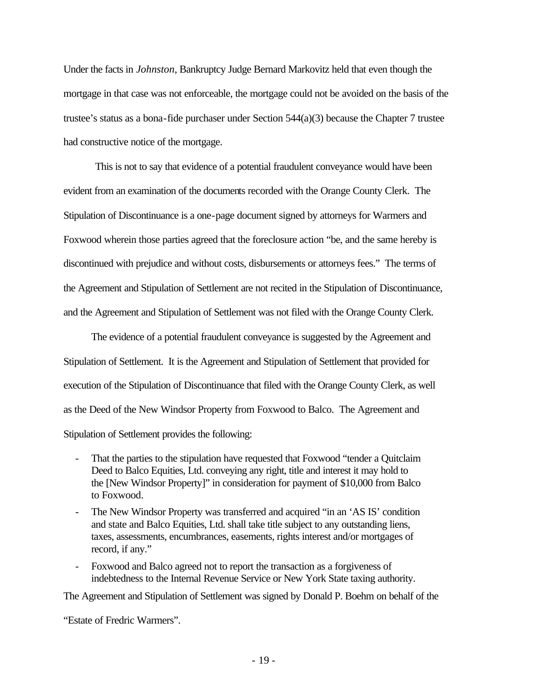Under the facts in *Johnston*, Bankruptcy Judge Bernard Markovitz held that even though the mortgage in that case was not enforceable, the mortgage could not be avoided on the basis of the trustee's status as a bona-fide purchaser under Section  $544(a)(3)$  because the Chapter 7 trustee had constructive notice of the mortgage.

This is not to say that evidence of a potential fraudulent conveyance would have been evident from an examination of the documents recorded with the Orange County Clerk. The Stipulation of Discontinuance is a one-page document signed by attorneys for Warmers and Foxwood wherein those parties agreed that the foreclosure action "be, and the same hereby is discontinued with prejudice and without costs, disbursements or attorneys fees." The terms of the Agreement and Stipulation of Settlement are not recited in the Stipulation of Discontinuance, and the Agreement and Stipulation of Settlement was not filed with the Orange County Clerk.

The evidence of a potential fraudulent conveyance is suggested by the Agreement and Stipulation of Settlement. It is the Agreement and Stipulation of Settlement that provided for execution of the Stipulation of Discontinuance that filed with the Orange County Clerk, as well as the Deed of the New Windsor Property from Foxwood to Balco. The Agreement and Stipulation of Settlement provides the following:

- That the parties to the stipulation have requested that Foxwood "tender a Quitclaim Deed to Balco Equities, Ltd. conveying any right, title and interest it may hold to the [New Windsor Property]" in consideration for payment of \$10,000 from Balco to Foxwood.
- The New Windsor Property was transferred and acquired "in an 'AS IS' condition and state and Balco Equities, Ltd. shall take title subject to any outstanding liens, taxes, assessments, encumbrances, easements, rights interest and/or mortgages of record, if any."
- Foxwood and Balco agreed not to report the transaction as a forgiveness of indebtedness to the Internal Revenue Service or New York State taxing authority.

The Agreement and Stipulation of Settlement was signed by Donald P. Boehm on behalf of the

"Estate of Fredric Warmers".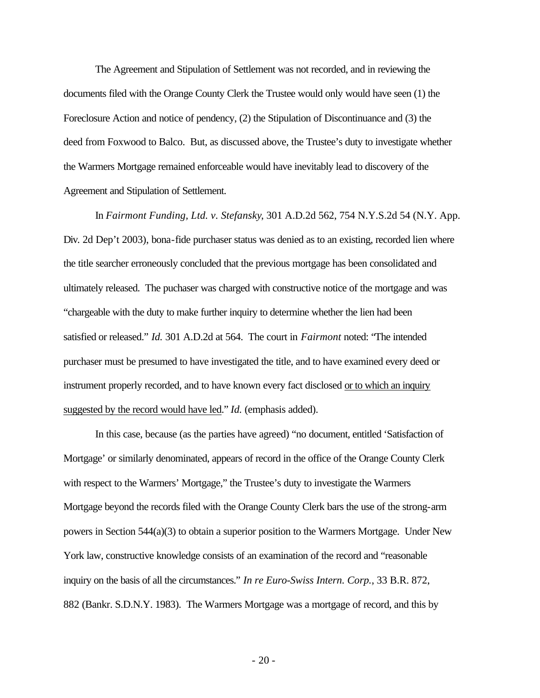The Agreement and Stipulation of Settlement was not recorded, and in reviewing the documents filed with the Orange County Clerk the Trustee would only would have seen (1) the Foreclosure Action and notice of pendency, (2) the Stipulation of Discontinuance and (3) the deed from Foxwood to Balco. But, as discussed above, the Trustee's duty to investigate whether the Warmers Mortgage remained enforceable would have inevitably lead to discovery of the Agreement and Stipulation of Settlement.

In *Fairmont Funding, Ltd. v. Stefansky*, 301 A.D.2d 562, 754 N.Y.S.2d 54 (N.Y. App. Div. 2d Dep't 2003), bona-fide purchaser status was denied as to an existing, recorded lien where the title searcher erroneously concluded that the previous mortgage has been consolidated and ultimately released. The puchaser was charged with constructive notice of the mortgage and was "chargeable with the duty to make further inquiry to determine whether the lien had been satisfied or released." *Id.* 301 A.D.2d at 564. The court in *Fairmont* noted: "The intended purchaser must be presumed to have investigated the title, and to have examined every deed or instrument properly recorded, and to have known every fact disclosed or to which an inquiry suggested by the record would have led." *Id.* (emphasis added).

In this case, because (as the parties have agreed) "no document, entitled 'Satisfaction of Mortgage' or similarly denominated, appears of record in the office of the Orange County Clerk with respect to the Warmers' Mortgage," the Trustee's duty to investigate the Warmers Mortgage beyond the records filed with the Orange County Clerk bars the use of the strong-arm powers in Section 544(a)(3) to obtain a superior position to the Warmers Mortgage. Under New York law, constructive knowledge consists of an examination of the record and "reasonable inquiry on the basis of all the circumstances." *In re Euro-Swiss Intern. Corp.*, 33 B.R. 872, 882 (Bankr. S.D.N.Y. 1983). The Warmers Mortgage was a mortgage of record, and this by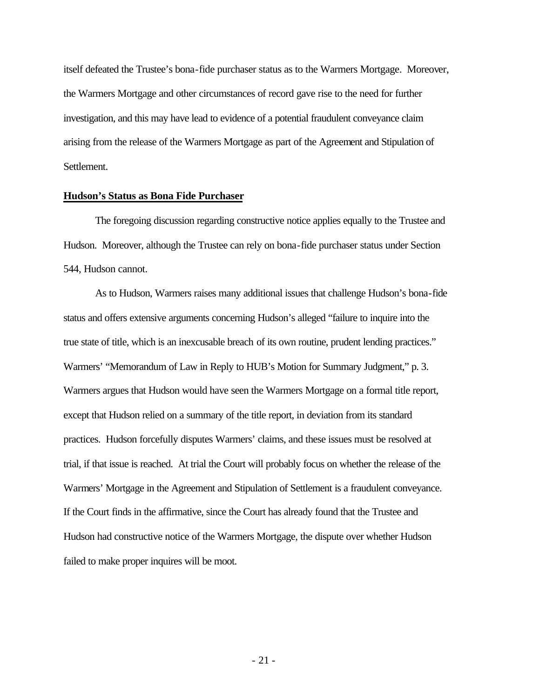itself defeated the Trustee's bona-fide purchaser status as to the Warmers Mortgage. Moreover, the Warmers Mortgage and other circumstances of record gave rise to the need for further investigation, and this may have lead to evidence of a potential fraudulent conveyance claim arising from the release of the Warmers Mortgage as part of the Agreement and Stipulation of Settlement.

#### **Hudson's Status as Bona Fide Purchaser**

The foregoing discussion regarding constructive notice applies equally to the Trustee and Hudson. Moreover, although the Trustee can rely on bona-fide purchaser status under Section 544, Hudson cannot.

As to Hudson, Warmers raises many additional issues that challenge Hudson's bona-fide status and offers extensive arguments concerning Hudson's alleged "failure to inquire into the true state of title, which is an inexcusable breach of its own routine, prudent lending practices." Warmers' "Memorandum of Law in Reply to HUB's Motion for Summary Judgment," p. 3. Warmers argues that Hudson would have seen the Warmers Mortgage on a formal title report, except that Hudson relied on a summary of the title report, in deviation from its standard practices. Hudson forcefully disputes Warmers' claims, and these issues must be resolved at trial, if that issue is reached. At trial the Court will probably focus on whether the release of the Warmers' Mortgage in the Agreement and Stipulation of Settlement is a fraudulent conveyance. If the Court finds in the affirmative, since the Court has already found that the Trustee and Hudson had constructive notice of the Warmers Mortgage, the dispute over whether Hudson failed to make proper inquires will be moot.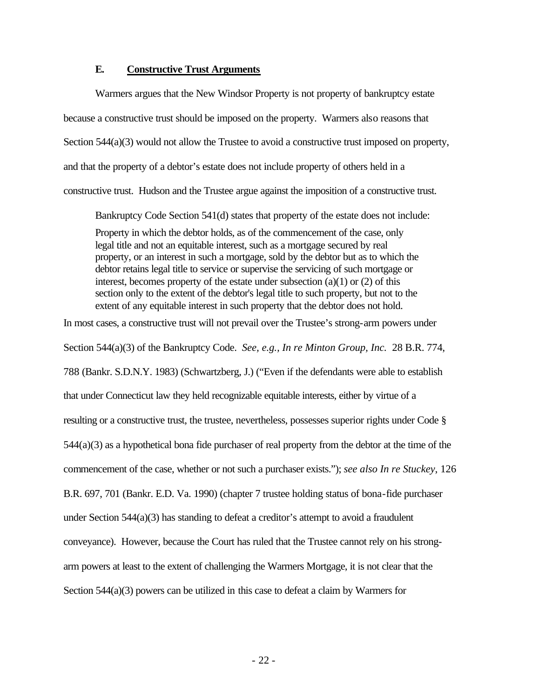#### **E. Constructive Trust Arguments**

Warmers argues that the New Windsor Property is not property of bankruptcy estate because a constructive trust should be imposed on the property. Warmers also reasons that Section 544(a)(3) would not allow the Trustee to avoid a constructive trust imposed on property, and that the property of a debtor's estate does not include property of others held in a constructive trust. Hudson and the Trustee argue against the imposition of a constructive trust.

Bankruptcy Code Section 541(d) states that property of the estate does not include: Property in which the debtor holds, as of the commencement of the case, only legal title and not an equitable interest, such as a mortgage secured by real property, or an interest in such a mortgage, sold by the debtor but as to which the debtor retains legal title to service or supervise the servicing of such mortgage or interest, becomes property of the estate under subsection (a)(1) or (2) of this section only to the extent of the debtor's legal title to such property, but not to the extent of any equitable interest in such property that the debtor does not hold.

In most cases, a constructive trust will not prevail over the Trustee's strong-arm powers under Section 544(a)(3) of the Bankruptcy Code. *See, e.g., In re Minton Group, Inc.* 28 B.R. 774, 788 (Bankr. S.D.N.Y. 1983) (Schwartzberg, J.) ("Even if the defendants were able to establish that under Connecticut law they held recognizable equitable interests, either by virtue of a resulting or a constructive trust, the trustee, nevertheless, possesses superior rights under Code § 544(a)(3) as a hypothetical bona fide purchaser of real property from the debtor at the time of the commencement of the case, whether or not such a purchaser exists."); *see also In re Stuckey*, 126 B.R. 697, 701 (Bankr. E.D. Va. 1990) (chapter 7 trustee holding status of bona-fide purchaser under Section  $544(a)(3)$  has standing to defeat a creditor's attempt to avoid a fraudulent conveyance). However, because the Court has ruled that the Trustee cannot rely on his strongarm powers at least to the extent of challenging the Warmers Mortgage, it is not clear that the Section 544(a)(3) powers can be utilized in this case to defeat a claim by Warmers for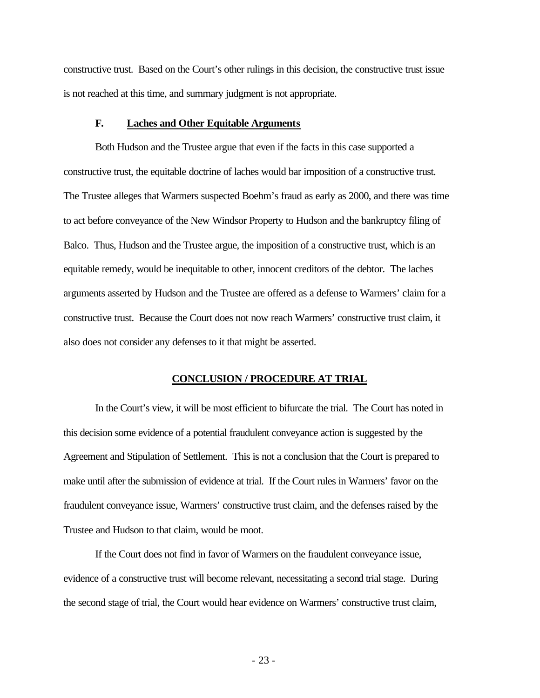constructive trust. Based on the Court's other rulings in this decision, the constructive trust issue is not reached at this time, and summary judgment is not appropriate.

#### **F. Laches and Other Equitable Arguments**

Both Hudson and the Trustee argue that even if the facts in this case supported a constructive trust, the equitable doctrine of laches would bar imposition of a constructive trust. The Trustee alleges that Warmers suspected Boehm's fraud as early as 2000, and there was time to act before conveyance of the New Windsor Property to Hudson and the bankruptcy filing of Balco. Thus, Hudson and the Trustee argue, the imposition of a constructive trust, which is an equitable remedy, would be inequitable to other, innocent creditors of the debtor. The laches arguments asserted by Hudson and the Trustee are offered as a defense to Warmers' claim for a constructive trust. Because the Court does not now reach Warmers' constructive trust claim, it also does not consider any defenses to it that might be asserted.

#### **CONCLUSION / PROCEDURE AT TRIAL**

In the Court's view, it will be most efficient to bifurcate the trial. The Court has noted in this decision some evidence of a potential fraudulent conveyance action is suggested by the Agreement and Stipulation of Settlement. This is not a conclusion that the Court is prepared to make until after the submission of evidence at trial. If the Court rules in Warmers' favor on the fraudulent conveyance issue, Warmers' constructive trust claim, and the defenses raised by the Trustee and Hudson to that claim, would be moot.

If the Court does not find in favor of Warmers on the fraudulent conveyance issue, evidence of a constructive trust will become relevant, necessitating a second trial stage. During the second stage of trial, the Court would hear evidence on Warmers' constructive trust claim,